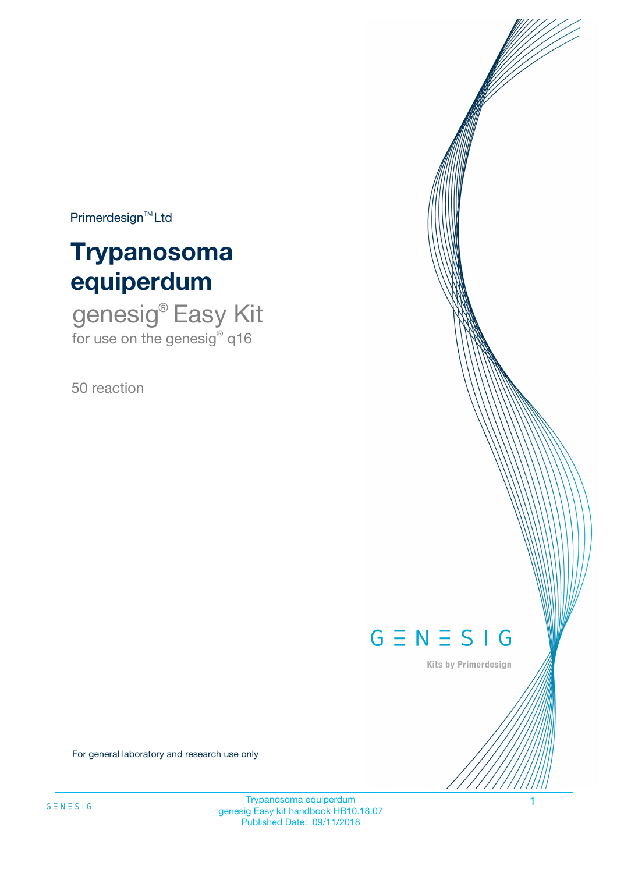$Primerdesign^{\text{TM}}Ltd$ 

# **Trypanosoma equiperdum**

genesig® Easy Kit for use on the genesig® q16

50 reaction



Kits by Primerdesign

For general laboratory and research use only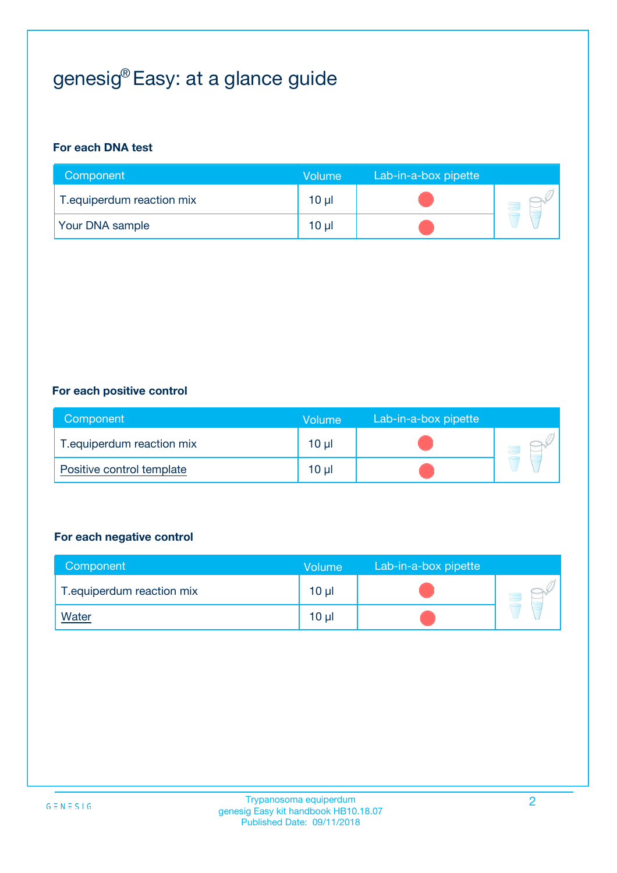## genesig® Easy: at a glance guide

#### **For each DNA test**

| Component                  | <b>Volume</b>   | Lab-in-a-box pipette |  |
|----------------------------|-----------------|----------------------|--|
| T. equiperdum reaction mix | $10 \mu$        |                      |  |
| <b>Your DNA sample</b>     | 10 <sub>µ</sub> |                      |  |

#### **For each positive control**

| Component                  | Volume          | Lab-in-a-box pipette |  |
|----------------------------|-----------------|----------------------|--|
| T. equiperdum reaction mix | $10 \mu$        |                      |  |
| Positive control template  | 10 <sub>µ</sub> |                      |  |

#### **For each negative control**

| Component                  | Volume          | Lab-in-a-box pipette |  |
|----------------------------|-----------------|----------------------|--|
| T. equiperdum reaction mix | 10 <sub>µ</sub> |                      |  |
| <u>Water</u>               | 10 µl           |                      |  |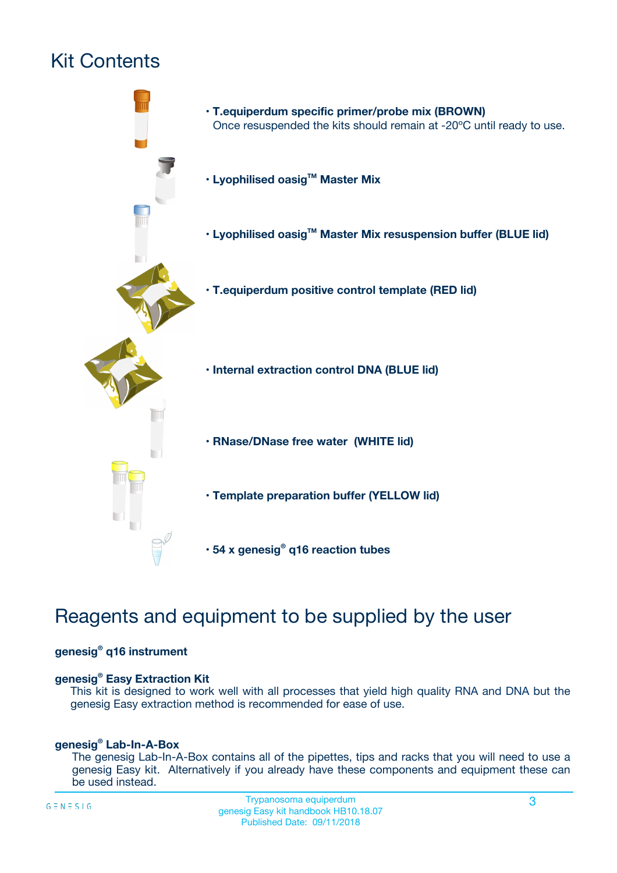## Kit Contents



## Reagents and equipment to be supplied by the user

#### **genesig® q16 instrument**

#### **genesig® Easy Extraction Kit**

This kit is designed to work well with all processes that yield high quality RNA and DNA but the genesig Easy extraction method is recommended for ease of use.

#### **genesig® Lab-In-A-Box**

The genesig Lab-In-A-Box contains all of the pipettes, tips and racks that you will need to use a genesig Easy kit. Alternatively if you already have these components and equipment these can be used instead.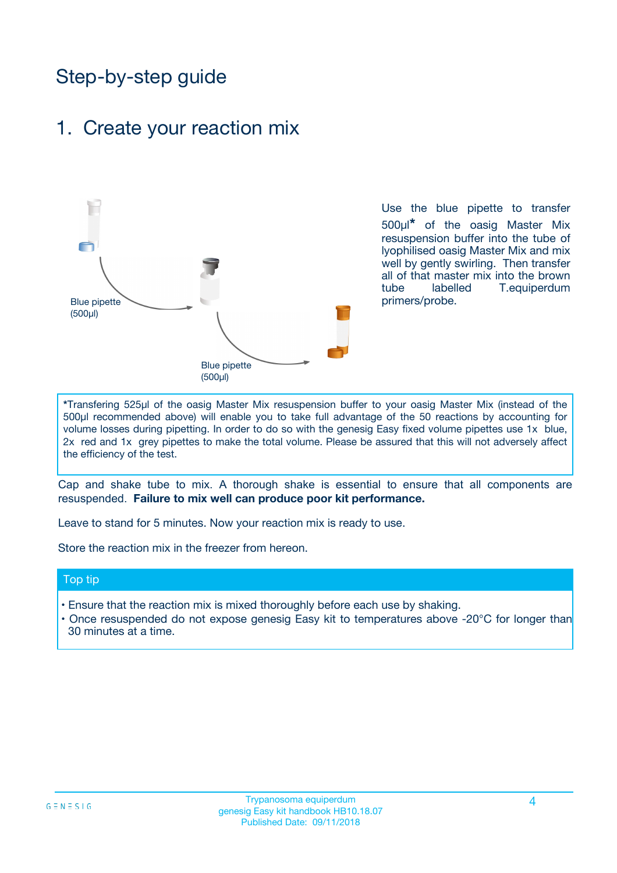## Step-by-step guide

### 1. Create your reaction mix



Use the blue pipette to transfer 500µl**\*** of the oasig Master Mix resuspension buffer into the tube of lyophilised oasig Master Mix and mix well by gently swirling. Then transfer all of that master mix into the brown tube labelled T.equiperdum primers/probe.

**\***Transfering 525µl of the oasig Master Mix resuspension buffer to your oasig Master Mix (instead of the 500µl recommended above) will enable you to take full advantage of the 50 reactions by accounting for volume losses during pipetting. In order to do so with the genesig Easy fixed volume pipettes use 1x blue, 2x red and 1x grey pipettes to make the total volume. Please be assured that this will not adversely affect the efficiency of the test.

Cap and shake tube to mix. A thorough shake is essential to ensure that all components are resuspended. **Failure to mix well can produce poor kit performance.**

Leave to stand for 5 minutes. Now your reaction mix is ready to use.

Store the reaction mix in the freezer from hereon.

#### Top tip

- Ensure that the reaction mix is mixed thoroughly before each use by shaking.
- **•** Once resuspended do not expose genesig Easy kit to temperatures above -20°C for longer than 30 minutes at a time.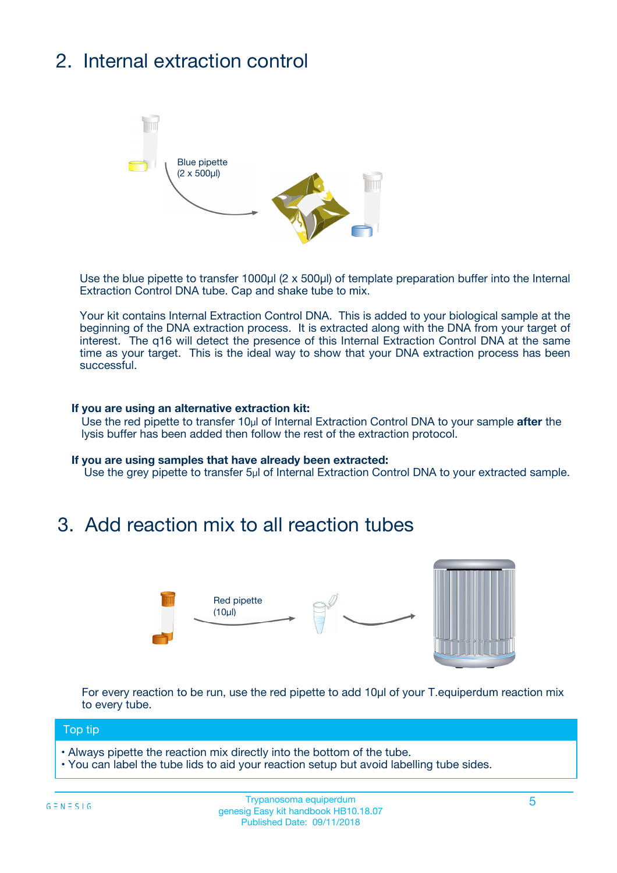## 2. Internal extraction control



Use the blue pipette to transfer 1000µl (2 x 500µl) of template preparation buffer into the Internal Extraction Control DNA tube. Cap and shake tube to mix.

Your kit contains Internal Extraction Control DNA. This is added to your biological sample at the beginning of the DNA extraction process. It is extracted along with the DNA from your target of interest. The q16 will detect the presence of this Internal Extraction Control DNA at the same time as your target. This is the ideal way to show that your DNA extraction process has been successful.

#### **If you are using an alternative extraction kit:**

Use the red pipette to transfer 10µl of Internal Extraction Control DNA to your sample **after** the lysis buffer has been added then follow the rest of the extraction protocol.

#### **If you are using samples that have already been extracted:**

Use the grey pipette to transfer 5µl of Internal Extraction Control DNA to your extracted sample.

### 3. Add reaction mix to all reaction tubes



For every reaction to be run, use the red pipette to add 10µl of your T.equiperdum reaction mix to every tube.

#### Top tip

- Always pipette the reaction mix directly into the bottom of the tube.
- You can label the tube lids to aid your reaction setup but avoid labelling tube sides.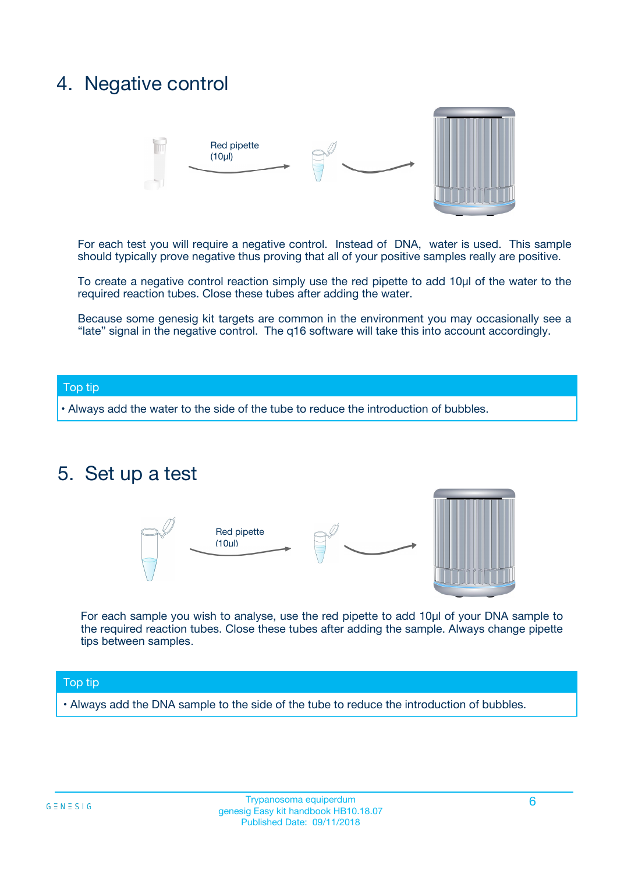### 4. Negative control



For each test you will require a negative control. Instead of DNA, water is used. This sample should typically prove negative thus proving that all of your positive samples really are positive.

To create a negative control reaction simply use the red pipette to add 10µl of the water to the required reaction tubes. Close these tubes after adding the water.

Because some genesig kit targets are common in the environment you may occasionally see a "late" signal in the negative control. The q16 software will take this into account accordingly.

#### Top tip

**•** Always add the water to the side of the tube to reduce the introduction of bubbles.

### 5. Set up a test



For each sample you wish to analyse, use the red pipette to add 10µl of your DNA sample to the required reaction tubes. Close these tubes after adding the sample. Always change pipette tips between samples.

#### Top tip

**•** Always add the DNA sample to the side of the tube to reduce the introduction of bubbles.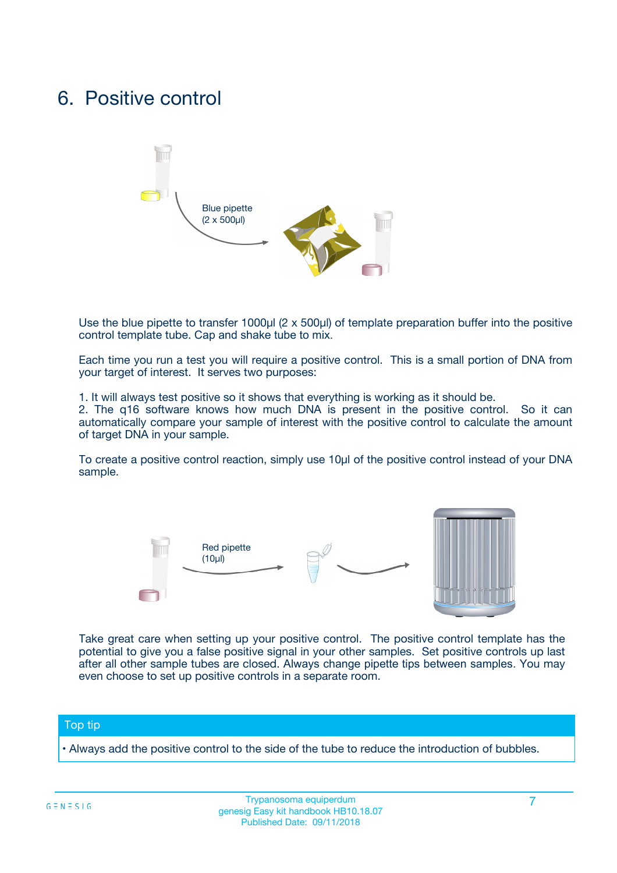### 6. Positive control



Use the blue pipette to transfer 1000µl (2 x 500µl) of template preparation buffer into the positive control template tube. Cap and shake tube to mix.

Each time you run a test you will require a positive control. This is a small portion of DNA from your target of interest. It serves two purposes:

1. It will always test positive so it shows that everything is working as it should be.

2. The q16 software knows how much DNA is present in the positive control. So it can automatically compare your sample of interest with the positive control to calculate the amount of target DNA in your sample.

To create a positive control reaction, simply use 10µl of the positive control instead of your DNA sample.



Take great care when setting up your positive control. The positive control template has the potential to give you a false positive signal in your other samples. Set positive controls up last after all other sample tubes are closed. Always change pipette tips between samples. You may even choose to set up positive controls in a separate room.

#### Top tip

**•** Always add the positive control to the side of the tube to reduce the introduction of bubbles.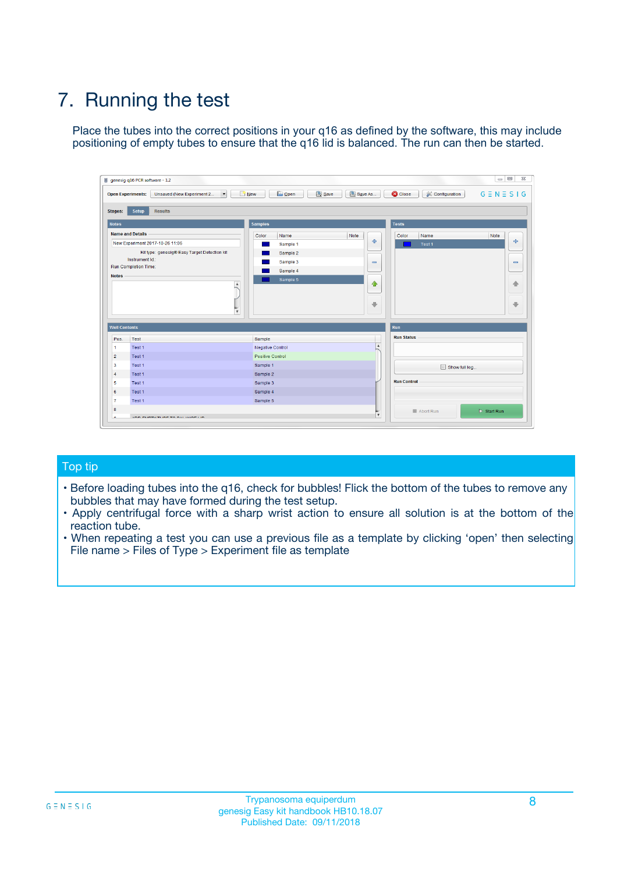## 7. Running the test

Place the tubes into the correct positions in your q16 as defined by the software, this may include positioning of empty tubes to ensure that the q16 lid is balanced. The run can then be started.

| genesig q16 PCR software - 1.2                                               |                                | $\begin{array}{c c c c} \hline \multicolumn{3}{c }{\textbf{0}} & \multicolumn{3}{c }{\textbf{0}} \end{array}$ |                              |
|------------------------------------------------------------------------------|--------------------------------|---------------------------------------------------------------------------------------------------------------|------------------------------|
| $\vert \cdot \vert$<br><b>Open Experiments:</b><br>Unsaved (New Experiment 2 | Open<br>Save<br>$\sqrt{9}$ New | Save As<br><b>C</b> Close<br>$G \equiv N \equiv S \mid G$<br><b>X</b> Configuration                           |                              |
| Setup<br><b>Results</b><br><b>Stages:</b>                                    |                                |                                                                                                               |                              |
| <b>Notes</b>                                                                 | <b>Samples</b>                 | <b>Tests</b>                                                                                                  |                              |
| <b>Name and Details</b>                                                      | Color<br>Name                  | Note<br>Color<br>Note<br>Name                                                                                 |                              |
| New Experiment 2017-10-26 11:06                                              | Sample 1                       | ÷<br>Test <sub>1</sub>                                                                                        | ÷                            |
| Kit type: genesig® Easy Target Detection kit                                 | Sample 2                       |                                                                                                               |                              |
| Instrument Id.:                                                              | Sample 3                       | $\qquad \qquad \blacksquare$                                                                                  | $\qquad \qquad \blacksquare$ |
| <b>Run Completion Time:</b>                                                  | Sample 4                       |                                                                                                               |                              |
| <b>Notes</b><br>A<br>⊺៴                                                      | Sample 5                       | $\triangle$<br>$\oplus$                                                                                       | 借<br>₩                       |
| <b>Well Contents</b>                                                         |                                | Run                                                                                                           |                              |
| Pos.<br><b>Test</b>                                                          | Sample                         | <b>Run Status</b>                                                                                             |                              |
| Test 1<br>-1                                                                 | <b>Negative Control</b>        | $\blacktriangle$                                                                                              |                              |
| $\overline{2}$<br>Test 1                                                     | <b>Positive Control</b>        |                                                                                                               |                              |
| 3<br>Test 1                                                                  | Sample 1                       | Show full log                                                                                                 |                              |
| Test 1<br>$\overline{4}$                                                     | Sample 2                       |                                                                                                               |                              |
| 5<br>Test 1                                                                  | Sample 3                       | <b>Run Control</b>                                                                                            |                              |
| Test 1<br>6                                                                  | Sample 4                       |                                                                                                               |                              |
| $\overline{7}$<br>Test 1                                                     | Sample 5                       |                                                                                                               |                              |
| 8                                                                            |                                | $\triangleright$ Start Run<br>Abort Run                                                                       |                              |
| <b>JOD FURTY TUDE TO BUILDED IN</b>                                          |                                | $\overline{\mathbf{v}}$                                                                                       |                              |

#### Top tip

- Before loading tubes into the q16, check for bubbles! Flick the bottom of the tubes to remove any bubbles that may have formed during the test setup.
- Apply centrifugal force with a sharp wrist action to ensure all solution is at the bottom of the reaction tube.
- When repeating a test you can use a previous file as a template by clicking 'open' then selecting File name > Files of Type > Experiment file as template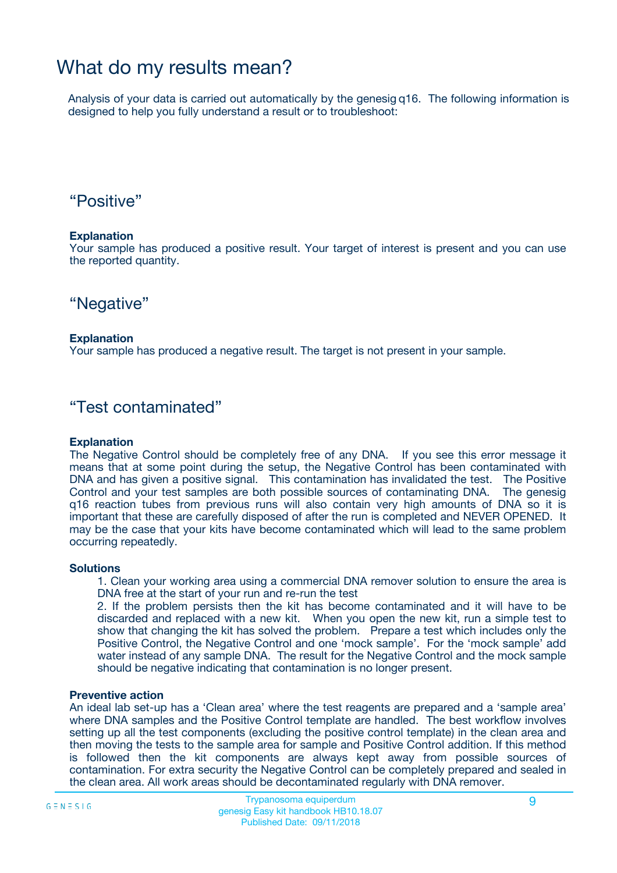### What do my results mean?

Analysis of your data is carried out automatically by the genesig q16. The following information is designed to help you fully understand a result or to troubleshoot:

### "Positive"

#### **Explanation**

Your sample has produced a positive result. Your target of interest is present and you can use the reported quantity.

"Negative"

#### **Explanation**

Your sample has produced a negative result. The target is not present in your sample.

### "Test contaminated"

#### **Explanation**

The Negative Control should be completely free of any DNA. If you see this error message it means that at some point during the setup, the Negative Control has been contaminated with DNA and has given a positive signal. This contamination has invalidated the test. The Positive Control and your test samples are both possible sources of contaminating DNA. The genesig q16 reaction tubes from previous runs will also contain very high amounts of DNA so it is important that these are carefully disposed of after the run is completed and NEVER OPENED. It may be the case that your kits have become contaminated which will lead to the same problem occurring repeatedly.

#### **Solutions**

1. Clean your working area using a commercial DNA remover solution to ensure the area is DNA free at the start of your run and re-run the test

2. If the problem persists then the kit has become contaminated and it will have to be discarded and replaced with a new kit. When you open the new kit, run a simple test to show that changing the kit has solved the problem. Prepare a test which includes only the Positive Control, the Negative Control and one 'mock sample'. For the 'mock sample' add water instead of any sample DNA. The result for the Negative Control and the mock sample should be negative indicating that contamination is no longer present.

#### **Preventive action**

An ideal lab set-up has a 'Clean area' where the test reagents are prepared and a 'sample area' where DNA samples and the Positive Control template are handled. The best workflow involves setting up all the test components (excluding the positive control template) in the clean area and then moving the tests to the sample area for sample and Positive Control addition. If this method is followed then the kit components are always kept away from possible sources of contamination. For extra security the Negative Control can be completely prepared and sealed in the clean area. All work areas should be decontaminated regularly with DNA remover.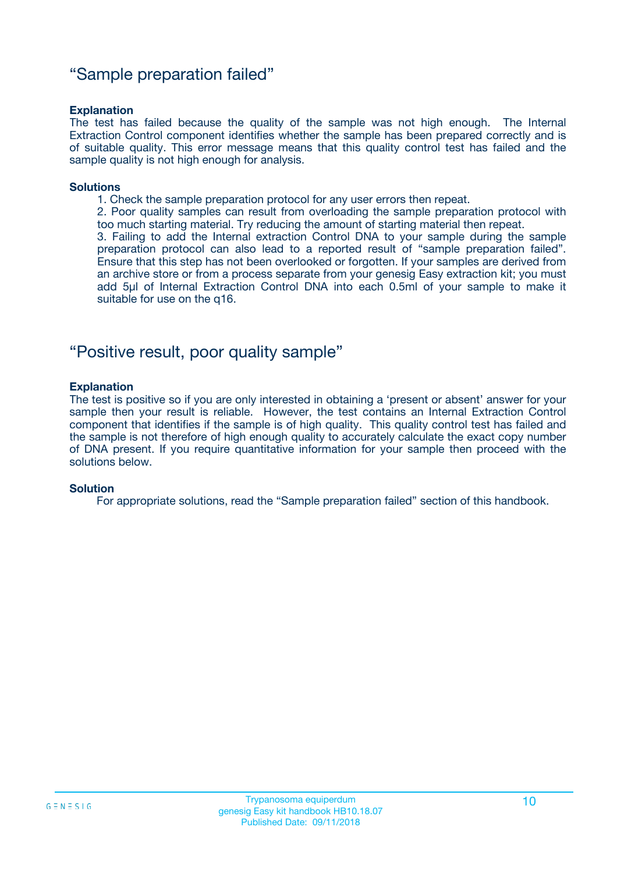### "Sample preparation failed"

#### **Explanation**

The test has failed because the quality of the sample was not high enough. The Internal Extraction Control component identifies whether the sample has been prepared correctly and is of suitable quality. This error message means that this quality control test has failed and the sample quality is not high enough for analysis.

#### **Solutions**

1. Check the sample preparation protocol for any user errors then repeat.

2. Poor quality samples can result from overloading the sample preparation protocol with too much starting material. Try reducing the amount of starting material then repeat.

3. Failing to add the Internal extraction Control DNA to your sample during the sample preparation protocol can also lead to a reported result of "sample preparation failed". Ensure that this step has not been overlooked or forgotten. If your samples are derived from an archive store or from a process separate from your genesig Easy extraction kit; you must add 5µl of Internal Extraction Control DNA into each 0.5ml of your sample to make it suitable for use on the q16.

### "Positive result, poor quality sample"

#### **Explanation**

The test is positive so if you are only interested in obtaining a 'present or absent' answer for your sample then your result is reliable. However, the test contains an Internal Extraction Control component that identifies if the sample is of high quality. This quality control test has failed and the sample is not therefore of high enough quality to accurately calculate the exact copy number of DNA present. If you require quantitative information for your sample then proceed with the solutions below.

#### **Solution**

For appropriate solutions, read the "Sample preparation failed" section of this handbook.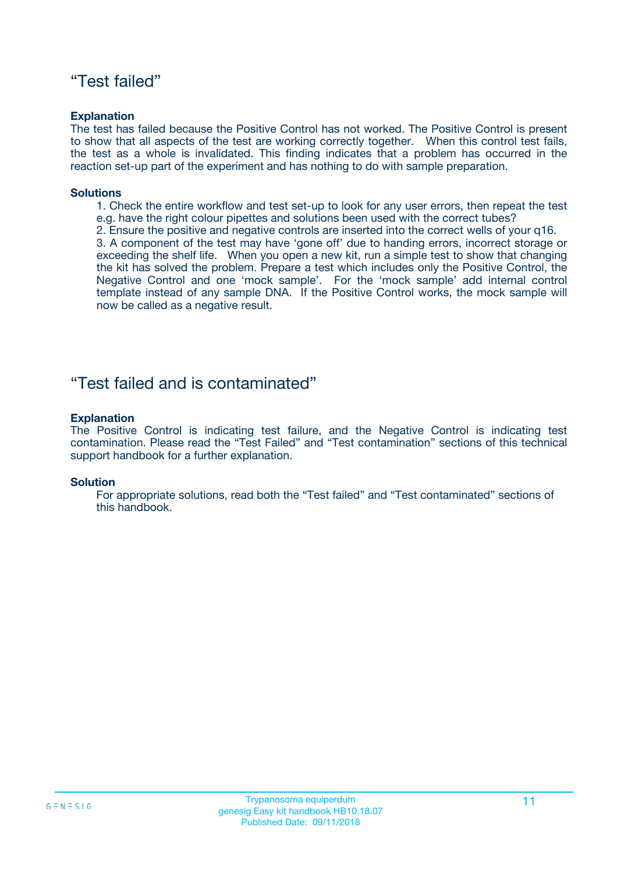### "Test failed"

#### **Explanation**

The test has failed because the Positive Control has not worked. The Positive Control is present to show that all aspects of the test are working correctly together. When this control test fails, the test as a whole is invalidated. This finding indicates that a problem has occurred in the reaction set-up part of the experiment and has nothing to do with sample preparation.

#### **Solutions**

- 1. Check the entire workflow and test set-up to look for any user errors, then repeat the test e.g. have the right colour pipettes and solutions been used with the correct tubes?
- 2. Ensure the positive and negative controls are inserted into the correct wells of your q16.

3. A component of the test may have 'gone off' due to handing errors, incorrect storage or exceeding the shelf life. When you open a new kit, run a simple test to show that changing the kit has solved the problem. Prepare a test which includes only the Positive Control, the Negative Control and one 'mock sample'. For the 'mock sample' add internal control template instead of any sample DNA. If the Positive Control works, the mock sample will now be called as a negative result.

### "Test failed and is contaminated"

#### **Explanation**

The Positive Control is indicating test failure, and the Negative Control is indicating test contamination. Please read the "Test Failed" and "Test contamination" sections of this technical support handbook for a further explanation.

#### **Solution**

For appropriate solutions, read both the "Test failed" and "Test contaminated" sections of this handbook.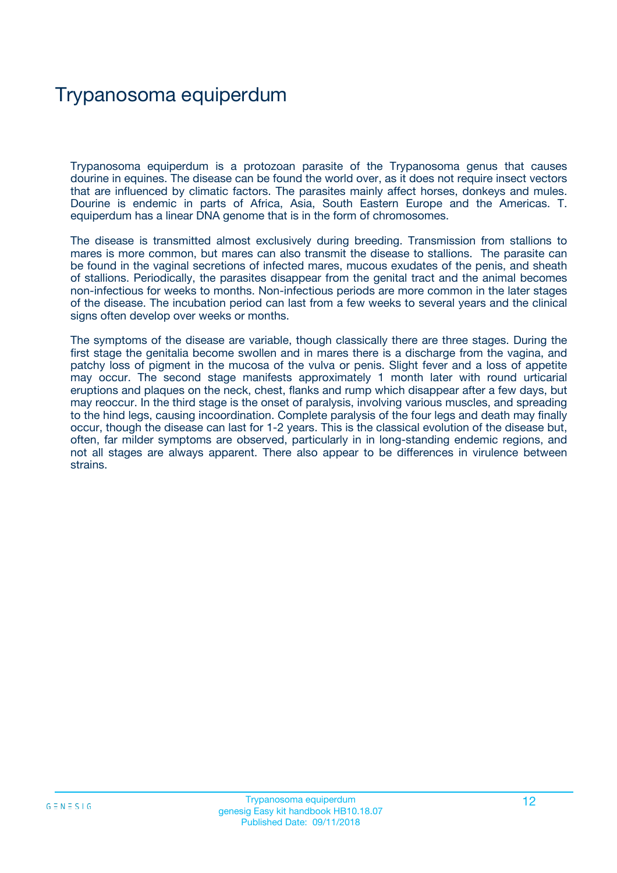## Trypanosoma equiperdum

Trypanosoma equiperdum is a protozoan parasite of the Trypanosoma genus that causes dourine in equines. The disease can be found the world over, as it does not require insect vectors that are influenced by climatic factors. The parasites mainly affect horses, donkeys and mules. Dourine is endemic in parts of Africa, Asia, South Eastern Europe and the Americas. T. equiperdum has a linear DNA genome that is in the form of chromosomes.

The disease is transmitted almost exclusively during breeding. Transmission from stallions to mares is more common, but mares can also transmit the disease to stallions. The parasite can be found in the vaginal secretions of infected mares, mucous exudates of the penis, and sheath of stallions. Periodically, the parasites disappear from the genital tract and the animal becomes non-infectious for weeks to months. Non-infectious periods are more common in the later stages of the disease. The incubation period can last from a few weeks to several years and the clinical signs often develop over weeks or months.

The symptoms of the disease are variable, though classically there are three stages. During the first stage the genitalia become swollen and in mares there is a discharge from the vagina, and patchy loss of pigment in the mucosa of the vulva or penis. Slight fever and a loss of appetite may occur. The second stage manifests approximately 1 month later with round urticarial eruptions and plaques on the neck, chest, flanks and rump which disappear after a few days, but may reoccur. In the third stage is the onset of paralysis, involving various muscles, and spreading to the hind legs, causing incoordination. Complete paralysis of the four legs and death may finally occur, though the disease can last for 1-2 years. This is the classical evolution of the disease but, often, far milder symptoms are observed, particularly in in long-standing endemic regions, and not all stages are always apparent. There also appear to be differences in virulence between strains.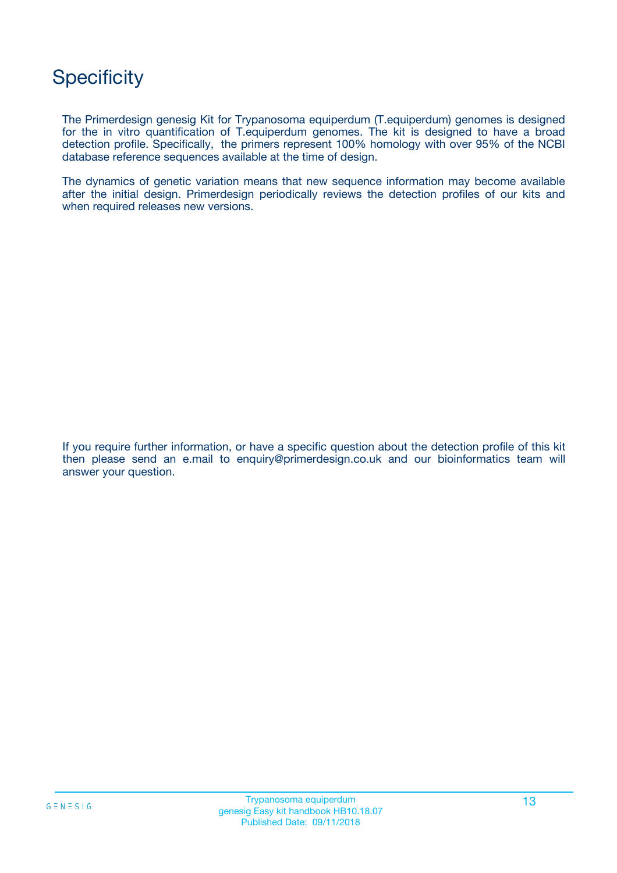## **Specificity**

The Primerdesign genesig Kit for Trypanosoma equiperdum (T.equiperdum) genomes is designed for the in vitro quantification of T.equiperdum genomes. The kit is designed to have a broad detection profile. Specifically, the primers represent 100% homology with over 95% of the NCBI database reference sequences available at the time of design.

The dynamics of genetic variation means that new sequence information may become available after the initial design. Primerdesign periodically reviews the detection profiles of our kits and when required releases new versions.

If you require further information, or have a specific question about the detection profile of this kit then please send an e.mail to enquiry@primerdesign.co.uk and our bioinformatics team will answer your question.